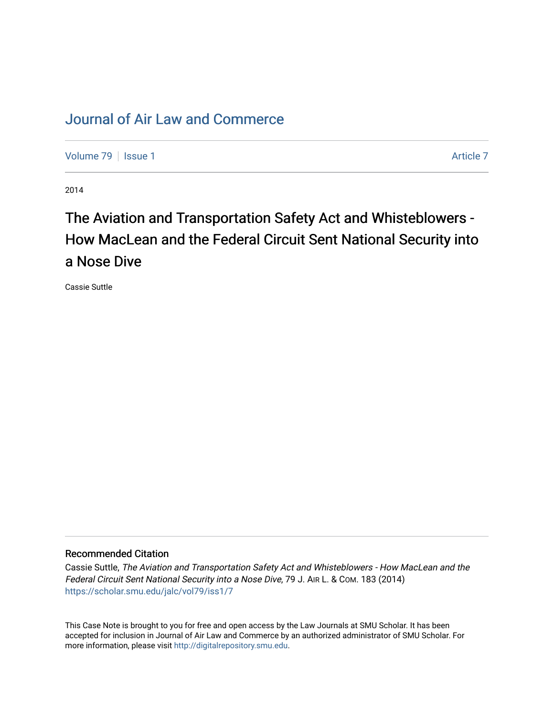## [Journal of Air Law and Commerce](https://scholar.smu.edu/jalc)

[Volume 79](https://scholar.smu.edu/jalc/vol79) | [Issue 1](https://scholar.smu.edu/jalc/vol79/iss1) Article 7

2014

## The Aviation and Transportation Safety Act and Whisteblowers -How MacLean and the Federal Circuit Sent National Security into a Nose Dive

Cassie Suttle

## Recommended Citation

Cassie Suttle, The Aviation and Transportation Safety Act and Whisteblowers - How MacLean and the Federal Circuit Sent National Security into a Nose Dive, 79 J. AIR L. & COM. 183 (2014) [https://scholar.smu.edu/jalc/vol79/iss1/7](https://scholar.smu.edu/jalc/vol79/iss1/7?utm_source=scholar.smu.edu%2Fjalc%2Fvol79%2Fiss1%2F7&utm_medium=PDF&utm_campaign=PDFCoverPages) 

This Case Note is brought to you for free and open access by the Law Journals at SMU Scholar. It has been accepted for inclusion in Journal of Air Law and Commerce by an authorized administrator of SMU Scholar. For more information, please visit [http://digitalrepository.smu.edu](http://digitalrepository.smu.edu/).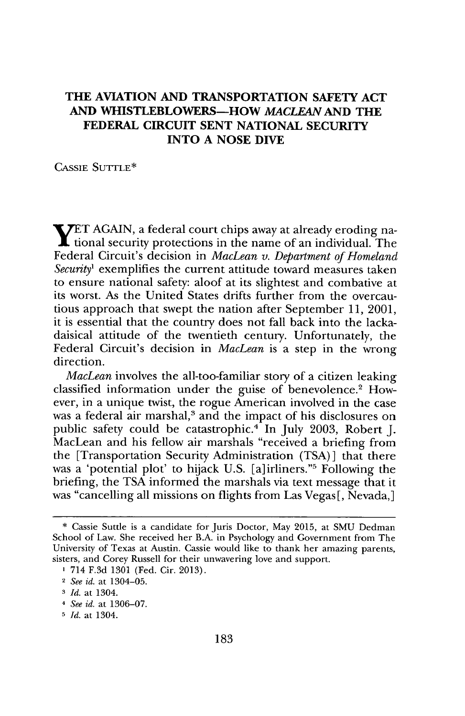## **THE AVIATION AND TRANSPORTATION SAFETY ACT AND WHISTLEBLOWERS-HOW MACLEAN AND THE FEDERAL CIRCUIT SENT NATIONAL SECURITY INTO A NOSE DIVE**

**CASSIE** SUTTLE\*

**yET AGAIN,** a federal court chips away at already eroding na-I tional security protections in the name of an individual. The Federal Circuit's decision in *MacLean v. Department of Homeland* Security<sup>1</sup> exemplifies the current attitude toward measures taken to ensure national safety: aloof at its slightest and combative at its worst. As the United States drifts further from the overcautious approach that swept the nation after September **11,** 2001, it is essential that the country does not fall back into the lackadaisical attitude of the twentieth century. Unfortunately, the Federal Circuit's decision in *MacLean* is a step in the wrong direction.

*MacLean* involves the all-too-familiar story of a citizen leaking classified information under the guise of benevolence.' However, in a unique twist, the rogue American involved in the case was a federal air marshal,<sup>3</sup> and the impact of his disclosures on public safety could be catastrophic.' In July **2003,** Robert **J.** MacLean and his fellow air marshals "received a briefing from the [Transportation Security Administration **(TSA) ]** that there was a 'potential plot' to hijack **U.S.** [a]irliners."5 Following the briefing, the **TSA** informed the marshals via text message that it was "cancelling all missions on flights from Las Vegas **[,** Nevada,]

**<sup>\*</sup>** Cassie Suttle is a candidate for Juris Doctor, May **2015,** at **SMU** Dedman School of Law. She received her B.A. in Psychology and Government from The University of Texas at Austin. Cassie would like to thank her amazing parents, sisters, and Corey Russell for their unwavering love and support.

**I** 714 **F.3d 1301** (Fed. Cir. **2013).**

**<sup>2</sup>** *See id.* at 1304-05.

**<sup>3</sup>** *Id.* at 1304.

*<sup>4</sup> See id.* at **1306-07.**

**<sup>5</sup>** *Id.* at 1304.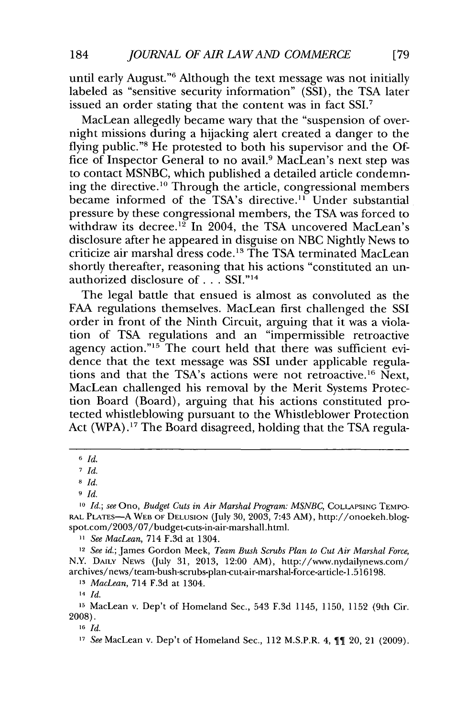until early August."6 Although the text message was not initially labeled as "sensitive security information" **(SSI),** the **TSA** later issued an order stating that the content was in fact SSI.<sup>7</sup>

MacLean allegedly became wary that the "suspension of overnight missions during a hijacking alert created a danger to the flying public."<sup>8</sup> He protested to both his supervisor and the Office of Inspector General to no avail.9 MacLean's next step was to contact **MSNBC,** which published a detailed article condemning the directive.'o Through the article, congressional members became informed of the TSA's directive.<sup>11</sup> Under substantial pressure **by** these congressional members, the **TSA** was forced to withdraw its decree.<sup>12</sup> In 2004, the TSA uncovered MacLean's disclosure after he appeared in disguise on **NBC** Nightly News to criticize air marshal dress code.' 3 The **TSA** terminated MacLean shortly thereafter, reasoning that his actions "constituted an unauthorized disclosure of **. . . SSI.""**

The legal battle that ensued is almost as convoluted as the **FAA** regulations themselves. MacLean first challenged the **SSI** order in front of the Ninth Circuit, arguing that it was a violation of **TSA** regulations and an "impermissible retroactive agency action."<sup>15</sup> The court held that there was sufficient evidence that the text message was **SSI** under applicable regulations and that the TSA's actions were not retroactive.16 Next, MacLean challenged his removal **by** the Merit Systems Protection Board (Board), arguing that his actions constituted protected whistleblowing pursuant to the Whistleblower Protection Act (WPA).<sup>17</sup> The Board disagreed, holding that the TSA regula-

*11 See MacLean,* 714 **F.3d** at 1304.

*<sup>12</sup>See id.;* James Gordon Meek, *Team Bush Scrubs Plan to Cut Air Marshal Force,* N.Y. **DAILY NEWS** (July **31, 2013,** 12:00 AM), http://www.nydailynews.com/ archives/news/team-bush-scrubs-plan-cut-air-marshal-force-article-1.516198.

*<sup>13</sup>MacLean,* 714 **F.3d** at 1304.

**<sup>14</sup>***Id.*

**<sup>15</sup>**MacLean v. Dep't of Homeland Sec., 543 **F.3d** 1145, **1150, 1152** (9th Cir. **2008).**

**16** *Id.*

**17** *See* MacLean v. Dep't of Homeland Sec., 112 M.S.P.R. 4, **11** 20, 21 **(2009).**

**<sup>6</sup>***Id.*

**<sup>7</sup>** *Id.*

**<sup>8</sup>***Id.*

**<sup>9</sup>** *Id.*

*<sup>10</sup> Id.;* see *Ono, Budget Cuts in Air Marshal Program: MSNBC,* **COLLAPSING TEMPO-RAL PLATES-A WEB OF DELUSION** (July **30, 2003,** 7:43 AM), http://onoekeh.blogspot.com/2003/07/budget-cuts-in-air-marshall.html.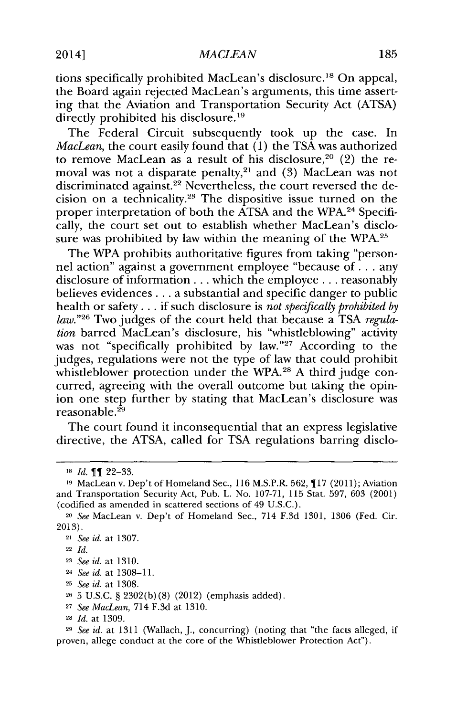tions specifically prohibited MacLean's disclosure.<sup>18</sup> On appeal, the Board again rejected MacLean's arguments, this time asserting that the Aviation and Transportation Security Act **(ATSA)** directly prohibited his disclosure.<sup>19</sup>

The Federal Circuit subsequently took up the case. In *MacLean,* the court easily found that **(1)** the **TSA** was authorized to remove MacLean as a result of his disclosure,<sup>20</sup> (2) the removal was not a disparate penalty, 2' and **(3)** MacLean was not discriminated against.<sup>22</sup> Nevertheless, the court reversed the decision on a technicality.23 The dispositive issue turned on the proper interpretation of both the ATSA and the WPA.<sup>24</sup> Specifically, the court set out to establish whether MacLean's disclosure was prohibited **by** law within the meaning of the WPA.

The WPA prohibits authoritative figures from taking "personnel action" against a government employee "because of **...** any disclosure of information **...** which the employee **...** reasonably believes evidences **...** a substantial and specific danger to public health or safety **. ..** if such disclosure is *not specifically prohibited by law.*"<sup>26</sup> Two judges of the court held that because a TSA *regulation* barred MacLean's disclosure, his "whistleblowing" activity was not "specifically prohibited by law."<sup>27</sup> According to the judges, regulations were not the type of law that could prohibit whistleblower protection under the WPA.<sup>28</sup> A third judge concurred, agreeing with the overall outcome but taking the opinion one step further **by** stating that MacLean's disclosure was reasonable.<sup>29</sup>

The court found it inconsequential that an express legislative directive, the **ATSA,** called for **TSA** regulations barring disclo-

- <sup>24</sup>*See id.* at **1308-11.**
- **<sup>25</sup>***See id.* at **1308.**

**<sup>27</sup>***See MacLean,* 714 **F.3d** at **1310.**

**<sup>18</sup>** *Id.* **11 22-33.**

**<sup>19</sup>**MacLean v. Dep't of Homeland Sec., **116** M.S.P.R. **562, 117 (2011);** Aviation and Transportation Security Act, Pub. L. No. **107-71, 115** Stat. **597, 603** (2001) (codified as amended in scattered sections of 49 **U.S.C.).**

<sup>20</sup>*See* MacLean v. Dep't of Homeland Sec., 714 **F.3d 1301, 1306** (Fed. Cir. **2013).**

<sup>21</sup>*See id.* at **1307.**

**<sup>22</sup>** *Id.*

**<sup>23</sup>***See id.* at **1310.**

**<sup>26</sup>5 U.S.C. § 2302(b) (8)** (2012) (emphasis added).

**<sup>28</sup>***Id.* at **1309.**

**<sup>29</sup>***See id.* at **1311** (Wallach, **J.,** concurring) (noting that "the facts alleged, if proven, allege conduct at the core of the Whistleblower Protection Act").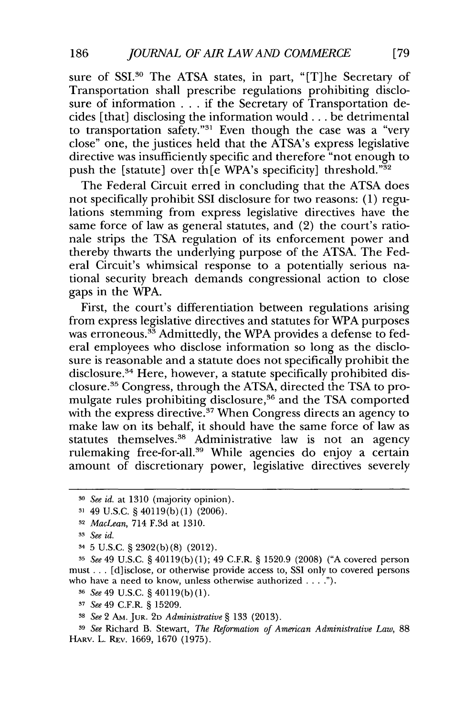sure of SSI.<sup>30</sup> The ATSA states, in part, "[T]he Secretary of Transportation shall prescribe regulations prohibiting disclosure of information **. . .** if the Secretary of Transportation decides [that] disclosing the information would **...** be detrimental to transportation safety."<sup>31</sup> Even though the case was a "very close" one, the justices held that the ATSA's express legislative directive was insufficiently specific and therefore "not enough to push the [statute] over the WPA's specificity] threshold."<sup>32</sup>

The Federal Circuit erred in concluding that the **ATSA** does not specifically prohibit **SSI** disclosure for two reasons: **(1)** regulations stemming from express legislative directives have the same force of law as general statutes, and (2) the court's rationale strips the **TSA** regulation of its enforcement power and thereby thwarts the underlying purpose of the **ATSA.** The Federal Circuit's whimsical response to a potentially serious national security breach demands congressional action to close gaps in the WPA.

First, the court's differentiation between regulations arising from express legislative directives and statutes for WPA purposes was erroneous.<sup>33</sup> Admittedly, the WPA provides a defense to federal employees who disclose information so long as the disclosure is reasonable and a statute does not specifically prohibit the disclosure.<sup>34</sup> Here, however, a statute specifically prohibited disclosure." Congress, through the **ATSA,** directed the **TSA** to promulgate rules prohibiting disclosure,<sup>36</sup> and the TSA comported with the express directive.<sup>37</sup> When Congress directs an agency to make law on its behalf, it should have the same force of law as statutes themselves.<sup>38</sup> Administrative law is not an agency rulemaking free-for-all.<sup>39</sup> While agencies do enjoy a certain amount of discretionary power, legislative directives severely

**<sup>3</sup>o** *See id. at* **1310** (majority opinion).

**<sup>31</sup>**49 **U.S.C. §** 40119(b) **(1) (2006).**

**<sup>32</sup>***MacLean,* 714 **F.3d** at **1310.**

**<sup>3</sup>** *See id.*

<sup>3</sup>**5 U.S.C. § 2302(b) (8)** (2012).

**<sup>3</sup>** *See* 49 **U.S.C. §** 40119(b) **(1);** 49 C.F.R. **§ 1520.9 (2008) ("A** covered person must **. ..** [d]isclose, or otherwise provide access to, **SSI** only to covered persons who have a need to know, unless otherwise authorized **.**

**<sup>36</sup>***See 49* **U.S.C. §** 40119(b) **(1).**

**<sup>3</sup>***See* 49 C.F.R. **§ 15209.**

**<sup>38</sup>***See* 2 **Am. JUR. 2D** *Administrative §* **133 (2013).**

**<sup>3</sup>***See* Richard B. Stewart, *The Reformation of American Administrative Law, 88* **HARV.** L. RFv. **1669, 1670 (1975).**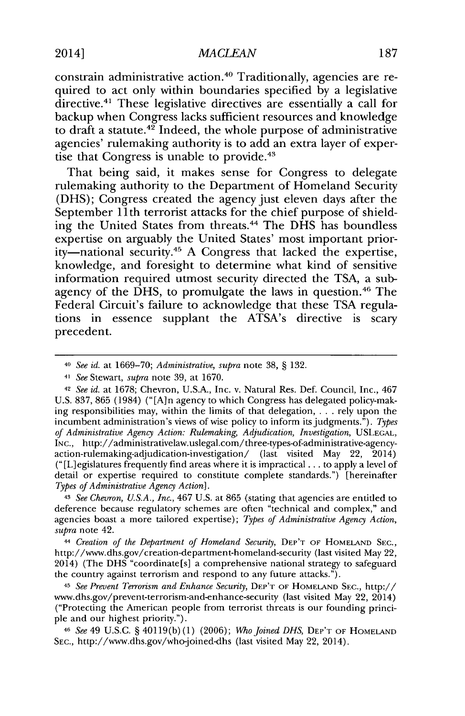2014] *AACLEAN* **187**

constrain administrative action.40 Traditionally, agencies are required to act only within boundaries specified **by** a legislative directive.<sup>41</sup> These legislative directives are essentially a call for backup when Congress lacks sufficient resources and knowledge to draft a statute.<sup>42</sup> Indeed, the whole purpose of administrative agencies' rulemaking authority is to add an extra layer of expertise that Congress is unable to provide.<sup>43</sup>

That being said, it makes sense for Congress to delegate rulemaking authority to the Department of Homeland Security **(DHS);** Congress created the agency just eleven days after the September 11th terrorist attacks for the chief purpose of shielding the United States from threats.4 4 The **DHS** has boundless expertise on arguably the United States' most important priority-national security." **A** Congress that lacked the expertise, knowledge, and foresight to determine what kind of sensitive information required utmost security directed the **TSA,** a subagency of the **DHS,** to promulgate the laws in question.46 The Federal Circuit's failure to acknowledge that these **TSA** regulations in essence supplant the ATSA's directive is scary precedent.

**<sup>41</sup>***See* Stewart, *supra* note **39,** at **1670.**

**<sup>42</sup>***See id. at* **1678;** Chevron, **U.S.A.,** Inc. v. Natural Res. Def. Council, Inc., 467 **U.S. 837, 865** (1984) **("[A]n** agency to which Congress has delegated policy-making responsibilities may, within the limits of that delegation, . . **.** rely upon the incumbent administration's views of wise policy to inform its judgments."). *Types of Administrative Agency Action: Rulemaking, Adjudication, Investigation,* **USLEGAL, INC.,** http://administrativelaw.uslegal.com/three-types-of-administrative-agencyaction-rulemaking-adjudication-investigation/ (last visited May 22, 2014) ("[L]egislatures frequently find areas where **it** is impractical **...** to apply a level of detail or expertise required to constitute complete standards.") [hereinafter *Types of Administrative Agency Action].*

**<sup>43</sup>***See Chevron, U.S.A., Inc.,* **467 U.S.** *at* **865** (stating that agencies are entitled to deference because regulatory schemes are often "technical and complex," and agencies boast a more tailored expertise); *Types of Administrative Agency Action, supra* note 42.

<sup>44</sup>*Creation of the Department of Homeland Security,* **DEP'T OF HOMELAND SEC.,** http://www.dhs.gov/creation-department-homeland-security (last visited May 22, 2014) (The **DHS** "coordinate[s] a comprehensive national strategy to safeguard the country against terrorism and respond to any future attacks.").

<sup>45</sup>*See Prevent Terrorism and Enhance Security,* **DEP'T OF HOMELAND SEC.,** http:// www.dhs.gov/prevent-terrorism-and-enhance-security (last visited May 22, 2014) ("Protecting the American people from terrorist threats is our founding principle and our highest priority.").

**<sup>46</sup>***See* 49 **U.S.C. §** 40119(b) **(1) (2006);** *Who joined DHS,* **DEP'T OF HOMELAND SEC.,** http://www.dhs.gov/who-joined-dhs (last visited May 22, 2014).

*<sup>40</sup> See id. at* **1669-70;** *Administrative, supra* note **38, § 132.**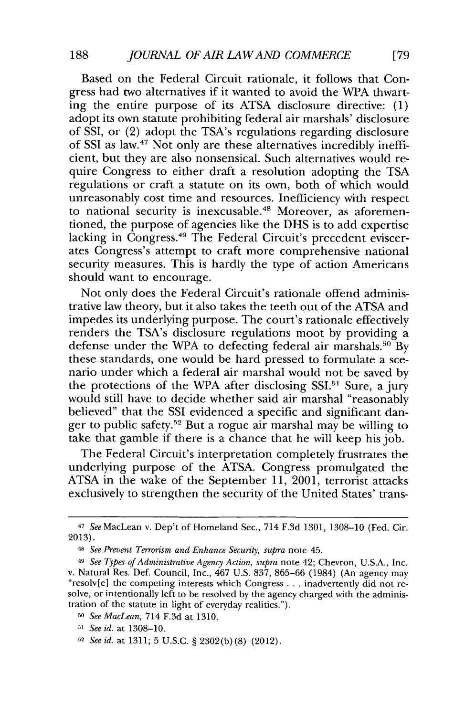Based on the Federal Circuit rationale, it follows that Congress had two alternatives if it wanted to avoid the WPA thwarting the entire purpose of its **ATSA** disclosure directive: **(1)** adopt its own statute prohibiting federal air marshals' disclosure of SSI, or (2) adopt the TSA's regulations regarding disclosure of SSI as law.<sup>47</sup> Not only are these alternatives incredibly inefficient, but they are also nonsensical. Such alternatives would require Congress to either draft a resolution adopting the **TSA** regulations or craft a statute on its own, both of which would unreasonably cost time and resources. Inefficiency with respect to national security is inexcusable.<sup>48</sup> Moreover, as aforementioned, the purpose of agencies like the **DHS** is to add expertise lacking in Congress.<sup>49</sup> The Federal Circuit's precedent eviscerates Congress's attempt to craft more comprehensive national security measures. This is hardly the type of action Americans should want to encourage.

Not only does the Federal Circuit's rationale offend administrative law theory, but it also takes the teeth out of the **ATSA** and impedes its underlying purpose. The court's rationale effectively renders the TSA's disclosure regulations moot **by** providing a defense under the WPA to defecting federal air marshals.<sup>50</sup> By these standards, one would be hard pressed to formulate a scenario under which a federal air marshal would not be saved **by** the protections of the **WPA** after disclosing **SSI.6'** Sure, a jury would still have to decide whether said air marshal "reasonably believed" that the **SSI** evidenced a specific and significant danger to public safety.<sup>52</sup> But a rogue air marshal may be willing to take that gamble if there is a chance that he will keep his **job.**

The Federal Circuit's interpretation completely frustrates the underlying purpose of the **ATSA.** Congress promulgated the **ATSA** in the wake of the September **11,** 2001, terrorist attacks exclusively to strengthen the security of the United States' trans-

<sup>47</sup>*See* MacLean v. Dep't of Homeland Sec., 714 **F.3d 1301, 1308-10** (Fed. Cir. **2013).**

**<sup>48</sup>***See Prevent Terrorism and Enhance Security, supra* note 45.

<sup>49</sup>*See Types of Administrative Agency Action, supra* note 42; Chevron, **U.S.A.,** Inc. v. Natural Res. Def. Council, Inc., 467 **U.S. 837, 865-66** (1984) (An agency may "resolv[e] the competing interests which Congress **...** inadvertently did not resolve, or intentionally left to be resolved by the agency charged with the administration of the statute in light of everyday realities.").

*<sup>50</sup>See MacLean,* 714 **F.3d** at **1310.**

*<sup>51</sup>See id.* at **1308-10.**

**<sup>52</sup>** *See id.* at **1311; 5 U.S.C. § 2302(b) (8)** (2012).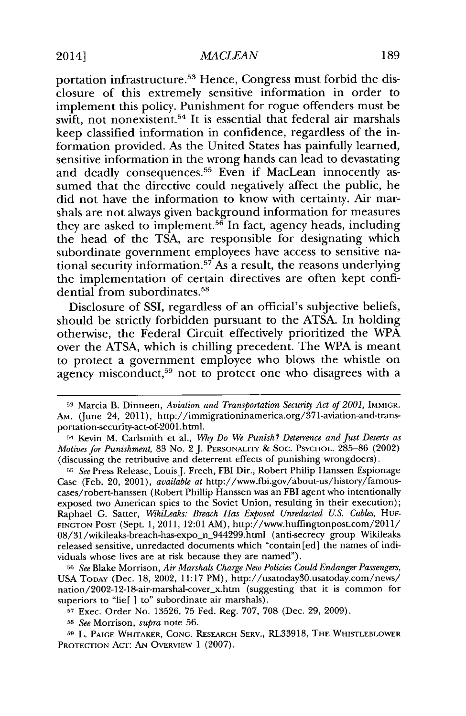portation infrastructure.<sup>53</sup> Hence, Congress must forbid the disclosure of this extremely sensitive information in order to implement this policy. Punishment for rogue offenders must be swift, not nonexistent.<sup>54</sup> It is essential that federal air marshals keep classified information in confidence, regardless of the information provided. As the United States has painfully learned, sensitive information in the wrong hands can lead to devastating and deadly consequences.<sup>55</sup> Even if MacLean innocently assumed that the directive could negatively affect the public, he did not have the information to know with certainty. Air marshals are not always given background information for measures they are asked to implement.<sup>56</sup> In fact, agency heads, including the head of the **TSA,** are responsible for designating which subordinate government employees have access to sensitive national security information.57 As a result, the reasons underlying the implementation of certain directives are often kept confidential from subordinates.

Disclosure of **SSI,** regardless of an official's subjective beliefs, should be strictly forbidden pursuant to the **ATSA.** In holding otherwise, the Federal Circuit effectively prioritized the **WPA** over the **ATSA,** which is chilling precedent. The WPA is meant to protect a government employee who blows the whistle on agency misconduct,<sup>59</sup> not to protect one who disagrees with a

**<sup>53</sup>**Marcia B. Dinneen, *Aviation and Transportation Security Act of 2001,* **IMMIGR. AM.** (June 24, 2011), http://immigrationinamerica.org/371-aviation-and-transportation-security-act-of-2001.html.

<sup>54</sup> Kevin M. Carlsmith et al., *Why Do We Punish? Deterrence and just Deserts as Motives for Punishment,* **83** No. 2 **J. PERSONALITY & Soc. PSYCHOL. 285-86** (2002) (discussing the retributive and deterrent effects of punishing wrongdoers).

**<sup>55</sup>***See* Press Release, Louis J. Freeh, FBI Dir., Robert Philip Hanssen Espionage Case (Feb. 20, 2001), *available at* http://www.fbi.gov/about-us/history/famouscases/robert-hanssen (Robert Phillip Hanssen was an FBI agent who intentionally exposed two American spies to the Soviet Union, resulting in their execution); Raphael **G.** Satter, *WikiLeaks: Breach Has Exposed Unredacted U.S. Cables, Huw-***FINGTON POST** (Sept. **1,** 2011, 12:01 AM), http://www.huffingtonpost.com/2011/ 08/31/wikileaks-breach-has-expo-n\_944299.html (anti-secrecy group Wikileaks released sensitive, unredacted documents which "contain [ed] the names of individuals whose lives are at risk because they are named").

**<sup>56</sup>***See* Blake Morrison, *Air Marshals Charge New Policies Could Endanger Passengers,* **USA TODAY** (Dec. **18,** 2002, **11:17** PM), http://usatoday30.usatoday.com/news/ nation/2002-12-18-air-marshal-coverx.htm (suggesting that it is common for superiors to "lie[ ] to" subordinate air marshals).

**<sup>57</sup>**Exec. Order No. **13526, 75** Fed. Reg. **707, 708** (Dec. **29, 2009).**

**<sup>58</sup>***See* Morrison, *supra* note **56.**

**<sup>59</sup>**L. **PAIGE WHITAKER, CONG. RESEARCH SERV.,** RL33918, **THE WHISTLEBLOWER PROTECTION ACT: AN OVERVIEW 1 (2007).**